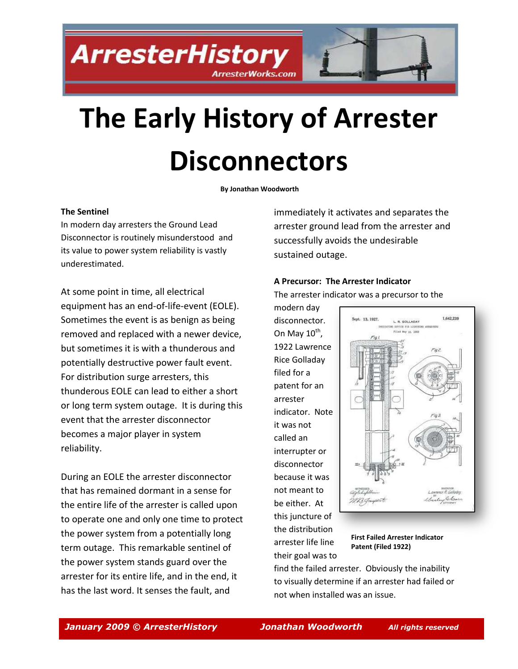**ArresterHistory ArresterWorks.com** 

# **The Early History of Arrester Disconnectors**

**By Jonathan Woodworth**

#### **The Sentinel**

In modern day arresters the Ground Lead Disconnector is routinely misunderstood and its value to power system reliability is vastly underestimated.

At some point in time, all electrical equipment has an end-of-life-event (EOLE). Sometimes the event is as benign as being removed and replaced with a newer device, but sometimes it is with a thunderous and potentially destructive power fault event. For distribution surge arresters, this thunderous EOLE can lead to either a short or long term system outage. It is during this event that the arrester disconnector becomes a major player in system reliability.

During an EOLE the arrester disconnector that has remained dormant in a sense for the entire life of the arrester is called upon to operate one and only one time to protect the power system from a potentially long term outage. This remarkable sentinel of the power system stands guard over the arrester for its entire life, and in the end, it has the last word. It senses the fault, and

immediately it activates and separates the arrester ground lead from the arrester and successfully avoids the undesirable sustained outage.

### **A Precursor: The Arrester Indicator** The arrester i[ndicator was a precursor to the](http://www.arresterworks.com/ArresterHistory_files/1,642,239  First Arrester Indicator Patent   1922 Application - 1927 Patent  Disconnector Lawrence R Golladay      Westinghouse.pdf)

modern day disconnector. On May  $10^{\text{th}}$ , 1922 Lawrence Rice Golladay filed for a patent for an arrester indicator. Note it was not called an interrupter or disconnector because it was not meant to be either. At this juncture of the distribution arrester life line their goal was to



**First Failed Arrester Indicator Patent (Filed 1922)** 

find the failed arrester. Obviously the inability to visually determine if an arrester had failed or not when installed was an issue.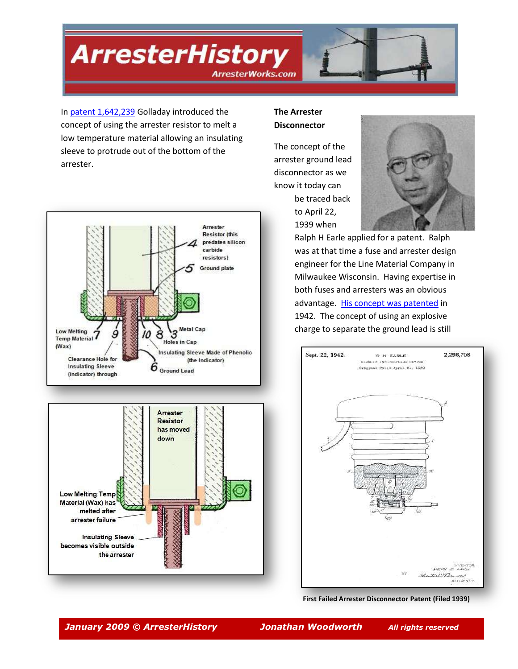**ArresterHistory** 



**ArresterWorks.com** 

In [patent 1,642,239](http://www.arresterworks.com/ArresterHistory_files/1,642,239%20%20First%20Arrester%20Indicator%20Patent%20%20%201922%20Application%20-%201927%20Patent%20%20Disconnector%20Lawrence%20R%20Golladay%20%20%20%20%20%20Westinghouse.pdf) Golladay introduced the concept of using the arrester resistor to melt a low temperature material allowing an insulating sleeve to protrude out of the bottom of the arrester.



**The Arrester Disconnector** 

The concept of the arrester ground lead disconnector as we know it today can be traced back to April 22, 1939 when



Ralph H Earle applied for a patent. Ralph was at that time a fuse and arrester design engineer for the Line Material Company in Milwaukee Wisconsin. Having expertise in both fuses and arresters was an obvious advantage. [His concept was patented](http://www.arresterworks.com/ArresterHistory_files/2296708%20First%20Disconnector%20Patent%20CIRCUIT_INTERRUPTING_DEVICE.pdf) in 1942. The concept of using an explosive charge to separate the ground lead is still



**[First Failed Arrester Disconnector Patent](http://www.arresterworks.com/ArresterHistory_files/2296708 First Disconnector Patent CIRCUIT_INTERRUPTING_DEVICE.pdf) (Filed 1939)** 

**Insulating Sleeve** becomes visible outside

the arrester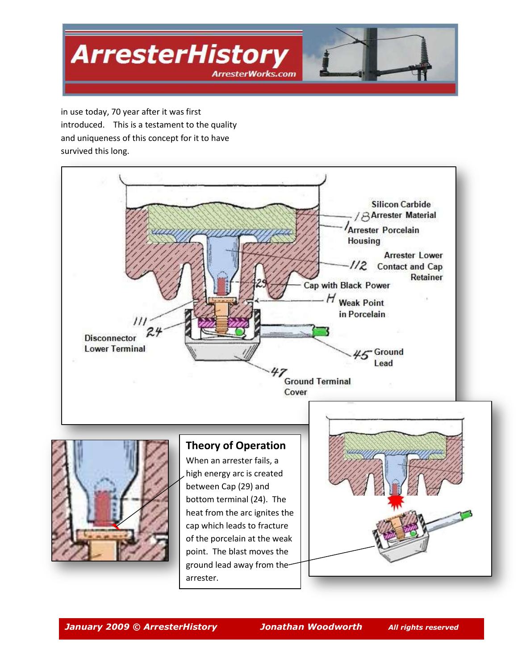

in use today, 70 year after it was first introduced. This is a testament to the quality and uniqueness of this concept for it to have survived this long.





## **Theory of Operation**

When an arrester fails, a high energy arc is created between Cap (29) and bottom terminal (24). The heat from the arc ignites the cap which leads to fracture of the porcelain at the weak point. The blast moves the ground lead away from the arrester.